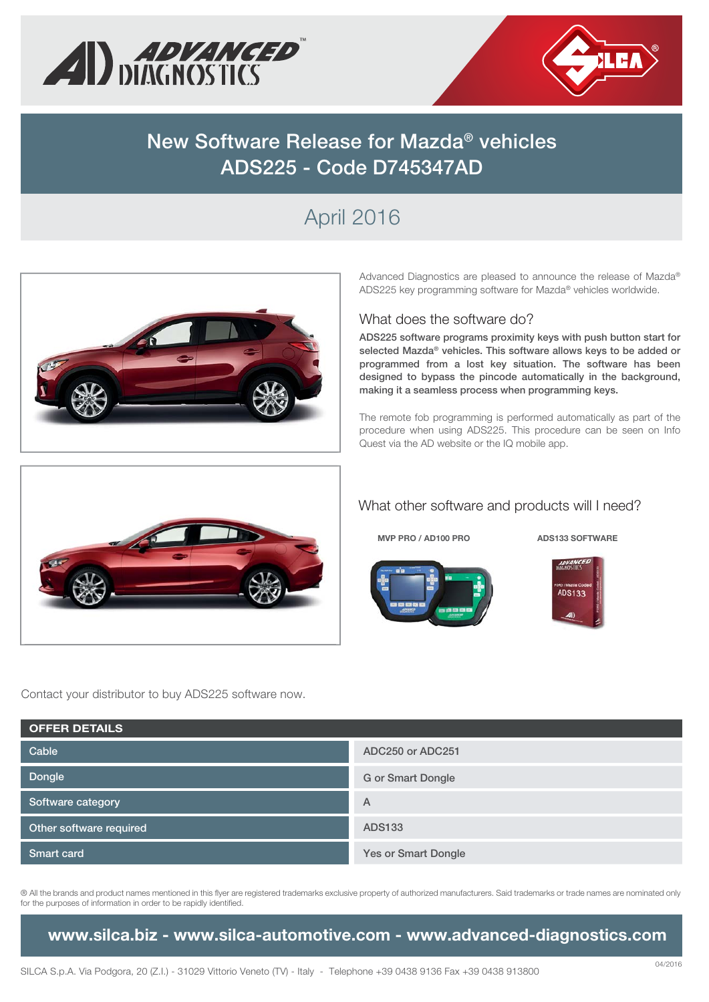



# **New Software Release for Mazda® vehicles ADS225 - Code D745347AD**

# April 2016



Advanced Diagnostics are pleased to announce the release of Mazda® ADS225 key programming software for Mazda® vehicles worldwide.

#### What does the software do?

**ADS225 software programs proximity keys with push button start for selected Mazda® vehicles. This software allows keys to be added or programmed from a lost key situation. The software has been designed to bypass the pincode automatically in the background, making it a seamless process when programming keys.**

The remote fob programming is performed automatically as part of the procedure when using ADS225. This procedure can be seen on Info Quest via the AD website or the IQ mobile app.



### What other software and products will I need?

#### **MVP PRO / AD100 PRO ADS133 SOFTWARE**





Contact your distributor to buy ADS225 software now.

| <b>OFFER DETAILS</b>    |                            |  |  |  |  |
|-------------------------|----------------------------|--|--|--|--|
| Cable                   | ADC250 or ADC251           |  |  |  |  |
| Dongle                  | <b>G</b> or Smart Dongle   |  |  |  |  |
| Software category       | A                          |  |  |  |  |
| Other software required | ADS133                     |  |  |  |  |
| <b>Smart card</b>       | <b>Yes or Smart Dongle</b> |  |  |  |  |

® All the brands and product names mentioned in this flyer are registered trademarks exclusive property of authorized manufacturers. Said trademarks or trade names are nominated only for the purposes of information in order to be rapidly identified.

**www.silca.biz - www.silca-automotive.com - www.advanced-diagnostics.com**